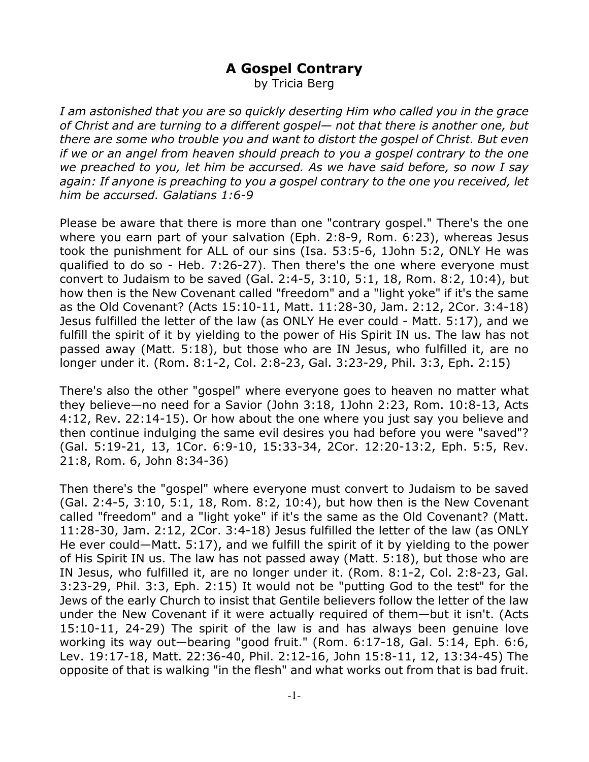## **A Gospel Contrary**

by Tricia Berg

*I am astonished that you are so quickly deserting Him who called you in the grace of Christ and are turning to a different gospel— not that there is another one, but there are some who trouble you and want to distort the gospel of Christ. But even if we or an angel from heaven should preach to you a gospel contrary to the one we preached to you, let him be accursed. As we have said before, so now I say again: If anyone is preaching to you a gospel contrary to the one you received, let him be accursed. Galatians 1:6-9*

Please be aware that there is more than one "contrary gospel." There's the one where you earn part of your salvation (Eph. 2:8-9, Rom. 6:23), whereas Jesus took the punishment for ALL of our sins (Isa. 53:5-6, 1John 5:2, ONLY He was qualified to do so - Heb. 7:26-27). Then there's the one where everyone must convert to Judaism to be saved (Gal. 2:4-5, 3:10, 5:1, 18, Rom. 8:2, 10:4), but how then is the New Covenant called "freedom" and a "light yoke" if it's the same as the Old Covenant? (Acts 15:10-11, Matt. 11:28-30, Jam. 2:12, 2Cor. 3:4-18) Jesus fulfilled the letter of the law (as ONLY He ever could - Matt. 5:17), and we fulfill the spirit of it by yielding to the power of His Spirit IN us. The law has not passed away (Matt. 5:18), but those who are IN Jesus, who fulfilled it, are no longer under it. (Rom. 8:1-2, Col. 2:8-23, Gal. 3:23-29, Phil. 3:3, Eph. 2:15)

There's also the other "gospel" where everyone goes to heaven no matter what they believe—no need for a Savior (John 3:18, 1John 2:23, Rom. 10:8-13, Acts 4:12, Rev. 22:14-15). Or how about the one where you just say you believe and then continue indulging the same evil desires you had before you were "saved"? (Gal. 5:19-21, 13, 1Cor. 6:9-10, 15:33-34, 2Cor. 12:20-13:2, Eph. 5:5, Rev. 21:8, Rom. 6, John 8:34-36)

Then there's the "gospel" where everyone must convert to Judaism to be saved (Gal. 2:4-5, 3:10, 5:1, 18, Rom. 8:2, 10:4), but how then is the New Covenant called "freedom" and a "light yoke" if it's the same as the Old Covenant? (Matt. 11:28-30, Jam. 2:12, 2Cor. 3:4-18) Jesus fulfilled the letter of the law (as ONLY He ever could—Matt. 5:17), and we fulfill the spirit of it by yielding to the power of His Spirit IN us. The law has not passed away (Matt. 5:18), but those who are IN Jesus, who fulfilled it, are no longer under it. (Rom. 8:1-2, Col. 2:8-23, Gal. 3:23-29, Phil. 3:3, Eph. 2:15) It would not be "putting God to the test" for the Jews of the early Church to insist that Gentile believers follow the letter of the law under the New Covenant if it were actually required of them—but it isn't. (Acts 15:10-11, 24-29) The spirit of the law is and has always been genuine love working its way out—bearing "good fruit." (Rom. 6:17-18, Gal. 5:14, Eph. 6:6, Lev. 19:17-18, Matt. 22:36-40, Phil. 2:12-16, John 15:8-11, 12, 13:34-45) The opposite of that is walking "in the flesh" and what works out from that is bad fruit.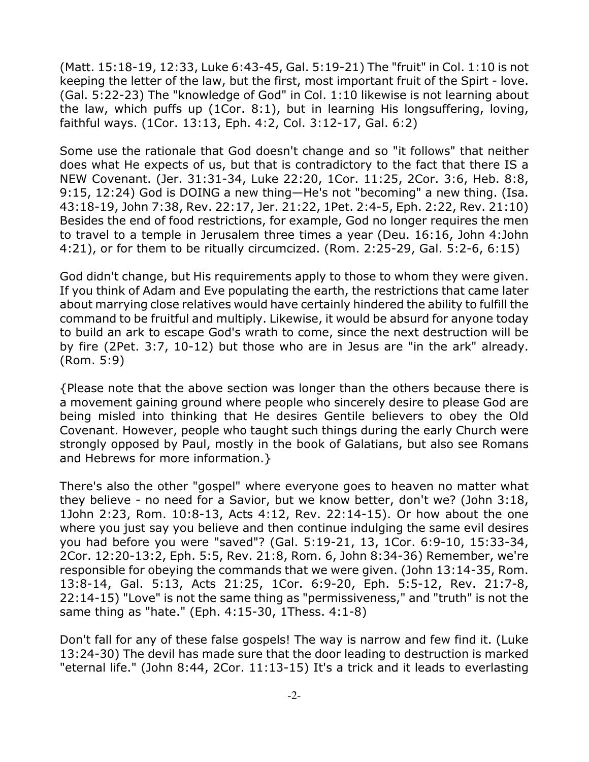(Matt. 15:18-19, 12:33, Luke 6:43-45, Gal. 5:19-21) The "fruit" in Col. 1:10 is not keeping the letter of the law, but the first, most important fruit of the Spirt - love. (Gal. 5:22-23) The "knowledge of God" in Col. 1:10 likewise is not learning about the law, which puffs up (1Cor. 8:1), but in learning His longsuffering, loving, faithful ways. (1Cor. 13:13, Eph. 4:2, Col. 3:12-17, Gal. 6:2)

Some use the rationale that God doesn't change and so "it follows" that neither does what He expects of us, but that is contradictory to the fact that there IS a NEW Covenant. (Jer. 31:31-34, Luke 22:20, 1Cor. 11:25, 2Cor. 3:6, Heb. 8:8, 9:15, 12:24) God is DOING a new thing—He's not "becoming" a new thing. (Isa. 43:18-19, John 7:38, Rev. 22:17, Jer. 21:22, 1Pet. 2:4-5, Eph. 2:22, Rev. 21:10) Besides the end of food restrictions, for example, God no longer requires the men to travel to a temple in Jerusalem three times a year (Deu. 16:16, John 4:John 4:21), or for them to be ritually circumcized. (Rom. 2:25-29, Gal. 5:2-6, 6:15)

God didn't change, but His requirements apply to those to whom they were given. If you think of Adam and Eve populating the earth, the restrictions that came later about marrying close relatives would have certainly hindered the ability to fulfill the command to be fruitful and multiply. Likewise, it would be absurd for anyone today to build an ark to escape God's wrath to come, since the next destruction will be by fire (2Pet. 3:7, 10-12) but those who are in Jesus are "in the ark" already. (Rom. 5:9)

{Please note that the above section was longer than the others because there is a movement gaining ground where people who sincerely desire to please God are being misled into thinking that He desires Gentile believers to obey the Old Covenant. However, people who taught such things during the early Church were strongly opposed by Paul, mostly in the book of Galatians, but also see Romans and Hebrews for more information.}

There's also the other "gospel" where everyone goes to heaven no matter what they believe - no need for a Savior, but we know better, don't we? (John 3:18, 1John 2:23, Rom. 10:8-13, Acts 4:12, Rev. 22:14-15). Or how about the one where you just say you believe and then continue indulging the same evil desires you had before you were "saved"? (Gal. 5:19-21, 13, 1Cor. 6:9-10, 15:33-34, 2Cor. 12:20-13:2, Eph. 5:5, Rev. 21:8, Rom. 6, John 8:34-36) Remember, we're responsible for obeying the commands that we were given. (John 13:14-35, Rom. 13:8-14, Gal. 5:13, Acts 21:25, 1Cor. 6:9-20, Eph. 5:5-12, Rev. 21:7-8, 22:14-15) "Love" is not the same thing as "permissiveness," and "truth" is not the same thing as "hate." (Eph. 4:15-30, 1Thess. 4:1-8)

Don't fall for any of these false gospels! The way is narrow and few find it. (Luke 13:24-30) The devil has made sure that the door leading to destruction is marked "eternal life." (John 8:44, 2Cor. 11:13-15) It's a trick and it leads to everlasting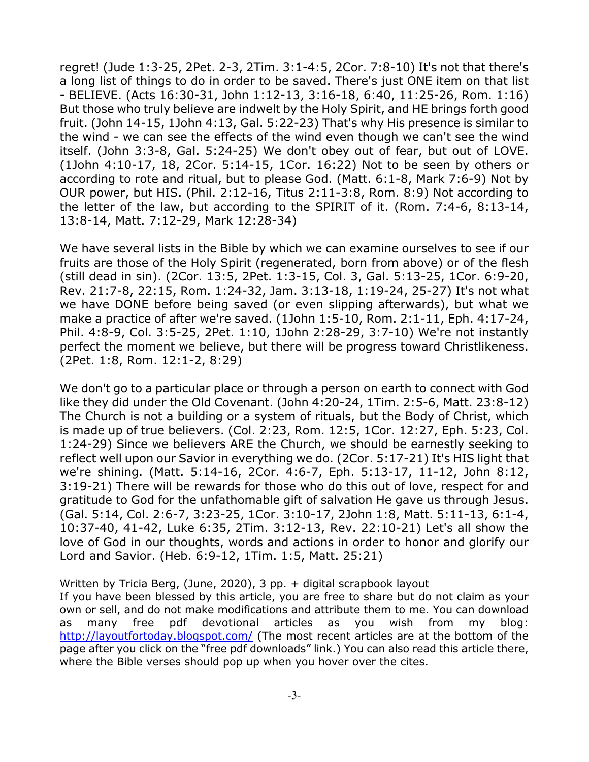regret! (Jude 1:3-25, 2Pet. 2-3, 2Tim. 3:1-4:5, 2Cor. 7:8-10) It's not that there's a long list of things to do in order to be saved. There's just ONE item on that list - BELIEVE. (Acts 16:30-31, John 1:12-13, 3:16-18, 6:40, 11:25-26, Rom. 1:16) But those who truly believe are indwelt by the Holy Spirit, and HE brings forth good fruit. (John 14-15, 1John 4:13, Gal. 5:22-23) That's why His presence is similar to the wind - we can see the effects of the wind even though we can't see the wind itself. (John 3:3-8, Gal. 5:24-25) We don't obey out of fear, but out of LOVE. (1John 4:10-17, 18, 2Cor. 5:14-15, 1Cor. 16:22) Not to be seen by others or according to rote and ritual, but to please God. (Matt. 6:1-8, Mark 7:6-9) Not by OUR power, but HIS. (Phil. 2:12-16, Titus 2:11-3:8, Rom. 8:9) Not according to the letter of the law, but according to the SPIRIT of it. (Rom. 7:4-6, 8:13-14, 13:8-14, Matt. 7:12-29, Mark 12:28-34)

We have several lists in the Bible by which we can examine ourselves to see if our fruits are those of the Holy Spirit (regenerated, born from above) or of the flesh (still dead in sin). (2Cor. 13:5, 2Pet. 1:3-15, Col. 3, Gal. 5:13-25, 1Cor. 6:9-20, Rev. 21:7-8, 22:15, Rom. 1:24-32, Jam. 3:13-18, 1:19-24, 25-27) It's not what we have DONE before being saved (or even slipping afterwards), but what we make a practice of after we're saved. (1John 1:5-10, Rom. 2:1-11, Eph. 4:17-24, Phil. 4:8-9, Col. 3:5-25, 2Pet. 1:10, 1John 2:28-29, 3:7-10) We're not instantly perfect the moment we believe, but there will be progress toward Christlikeness. (2Pet. 1:8, Rom. 12:1-2, 8:29)

We don't go to a particular place or through a person on earth to connect with God like they did under the Old Covenant. (John 4:20-24, 1Tim. 2:5-6, Matt. 23:8-12) The Church is not a building or a system of rituals, but the Body of Christ, which is made up of true believers. (Col. 2:23, Rom. 12:5, 1Cor. 12:27, Eph. 5:23, Col. 1:24-29) Since we believers ARE the Church, we should be earnestly seeking to reflect well upon our Savior in everything we do. (2Cor. 5:17-21) It's HIS light that we're shining. (Matt. 5:14-16, 2Cor. 4:6-7, Eph. 5:13-17, 11-12, John 8:12, 3:19-21) There will be rewards for those who do this out of love, respect for and gratitude to God for the unfathomable gift of salvation He gave us through Jesus. (Gal. 5:14, Col. 2:6-7, 3:23-25, 1Cor. 3:10-17, 2John 1:8, Matt. 5:11-13, 6:1-4, 10:37-40, 41-42, Luke 6:35, 2Tim. 3:12-13, Rev. 22:10-21) Let's all show the love of God in our thoughts, words and actions in order to honor and glorify our Lord and Savior. (Heb. 6:9-12, 1Tim. 1:5, Matt. 25:21)

Written by Tricia Berg, (June, 2020), 3 pp. + digital scrapbook layout

If you have been blessed by this article, you are free to share but do not claim as your own or sell, and do not make modifications and attribute them to me. You can download as many free pdf devotional articles as you wish from my blog: http://layoutfortoday.blogspot.com/ (The most recent articles are at the bottom of the page after you click on the "free pdf downloads" link.) You can also read this article there, where the Bible verses should pop up when you hover over the cites.